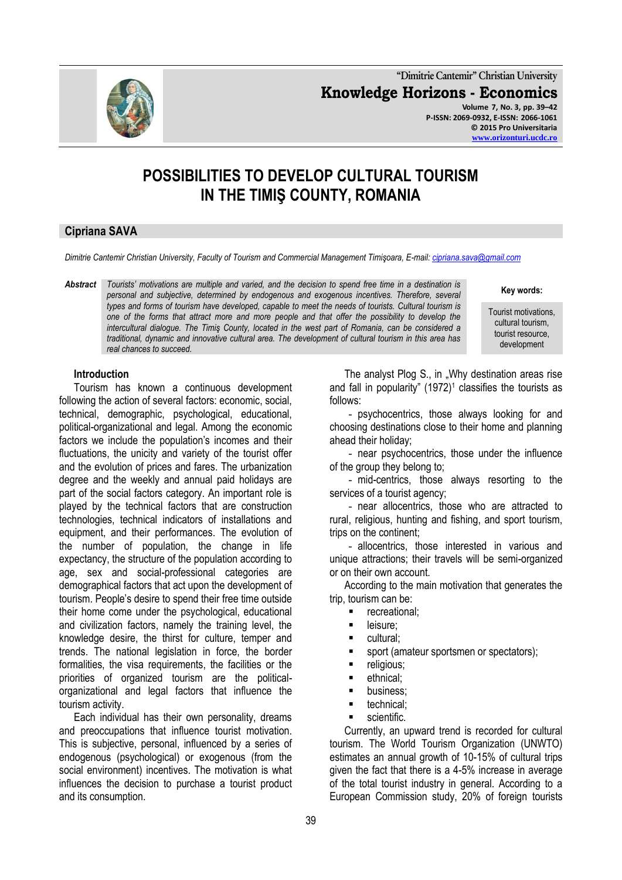**"Dimitrie Cantemir" Christian University Knowledge Horizons - Economics Volume 7, No. 3, pp. 39–42 P-ISSN: 2069-0932, E-ISSN: 2066-1061**



# **POSSIBILITIES TO DEVELOP CULTURAL TOURISM IN THE TIMIŞ COUNTY, ROMANIA**

## **Cipriana SAVA**

*Dimitrie Cantemir Christian University, Faculty of Tourism and Commercial Management Timişoara, E-mail: [cipriana.sava@gmail.com](mailto:cipriana.sava@gmail.com)*

*Abstract Tourists' motivations are multiple and varied, and the decision to spend free time in a destination is personal and subjective, determined by endogenous and exogenous incentives. Therefore, several types and forms of tourism have developed, capable to meet the needs of tourists. Cultural tourism is one of the forms that attract more and more people and that offer the possibility to develop the intercultural dialogue. The Timiş County, located in the west part of Romania, can be considered a traditional, dynamic and innovative cultural area. The development of cultural tourism in this area has real chances to succeed.*

**Key words:**

Tourist motivations, cultural tourism, tourist resource, development

#### **Introduction**

Tourism has known a continuous development following the action of several factors: economic, social, technical, demographic, psychological, educational, political-organizational and legal. Among the economic factors we include the population's incomes and their fluctuations, the unicity and variety of the tourist offer and the evolution of prices and fares. The urbanization degree and the weekly and annual paid holidays are part of the social factors category. An important role is played by the technical factors that are construction technologies, technical indicators of installations and equipment, and their performances. The evolution of the number of population, the change in life expectancy, the structure of the population according to age, sex and social-professional categories are demographical factors that act upon the development of tourism. People's desire to spend their free time outside their home come under the psychological, educational and civilization factors, namely the training level, the knowledge desire, the thirst for culture, temper and trends. The national legislation in force, the border formalities, the visa requirements, the facilities or the priorities of organized tourism are the politicalorganizational and legal factors that influence the tourism activity.

Each individual has their own personality, dreams and preoccupations that influence tourist motivation. This is subjective, personal, influenced by a series of endogenous (psychological) or exogenous (from the social environment) incentives. The motivation is what influences the decision to purchase a tourist product and its consumption.

The analyst Plog S., in "Why destination areas rise and fall in popularity"  $(1972)^1$  classifies the tourists as follows:

- psychocentrics, those always looking for and choosing destinations close to their home and planning ahead their holiday;

- near psychocentrics, those under the influence of the group they belong to;

- mid-centrics, those always resorting to the services of a tourist agency;

- near allocentrics, those who are attracted to rural, religious, hunting and fishing, and sport tourism, trips on the continent;

- allocentrics, those interested in various and unique attractions; their travels will be semi-organized or on their own account.

According to the main motivation that generates the trip, tourism can be:

- recreational;
- leisure;
- cultural;
- sport (amateur sportsmen or spectators);
- religious;
- ethnical;
- **•** business;
- technical;
- **scientific.**

Currently, an upward trend is recorded for cultural tourism. The World Tourism Organization (UNWTO) estimates an annual growth of 10-15% of cultural trips given the fact that there is a 4-5% increase in average of the total tourist industry in general. According to a European Commission study, 20% of foreign tourists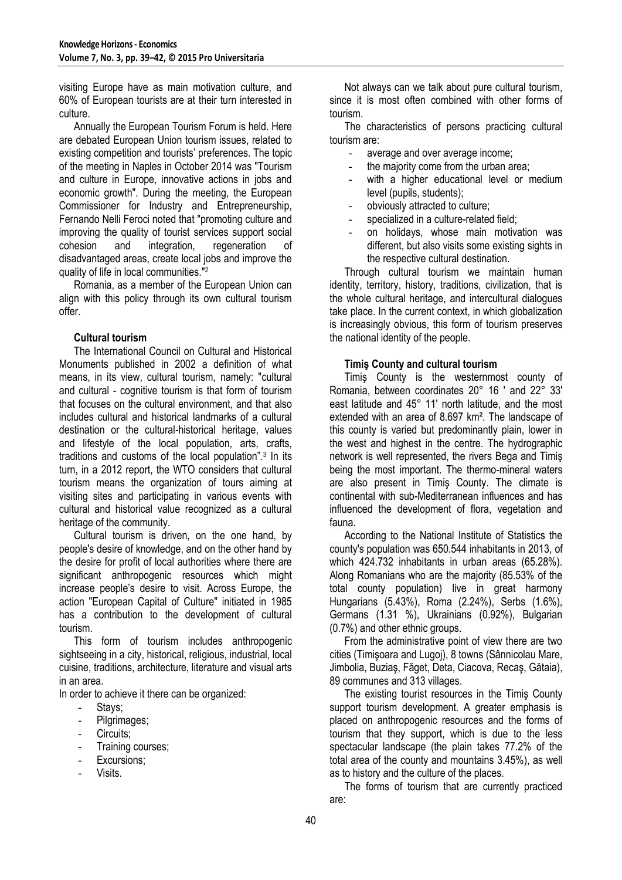visiting Europe have as main motivation culture, and 60% of European tourists are at their turn interested in culture.

Annually the European Tourism Forum is held. Here are debated European Union tourism issues, related to existing competition and tourists' preferences. The topic of the meeting in Naples in October 2014 was "Tourism and culture in Europe, innovative actions in jobs and economic growth". During the meeting, the European Commissioner for Industry and Entrepreneurship, Fernando Nelli Feroci noted that "promoting culture and improving the quality of tourist services support social cohesion and integration, regeneration of regeneration of disadvantaged areas, create local jobs and improve the quality of life in local communities."<sup>2</sup>

Romania, as a member of the European Union can align with this policy through its own cultural tourism offer.

#### **Cultural tourism**

The International Council on Cultural and Historical Monuments published in 2002 a definition of what means, in its view, cultural tourism, namely: "cultural and cultural - cognitive tourism is that form of tourism that focuses on the cultural environment, and that also includes cultural and historical landmarks of a cultural destination or the cultural-historical heritage, values and lifestyle of the local population, arts, crafts, traditions and customs of the local population".<sup>3</sup> In its turn, in a 2012 report, the WTO considers that cultural tourism means the organization of tours aiming at visiting sites and participating in various events with cultural and historical value recognized as a cultural heritage of the community.

Cultural tourism is driven, on the one hand, by people's desire of knowledge, and on the other hand by the desire for profit of local authorities where there are significant anthropogenic resources which might increase people's desire to visit. Across Europe, the action "European Capital of Culture" initiated in 1985 has a contribution to the development of cultural tourism.

This form of tourism includes anthropogenic sightseeing in a city, historical, religious, industrial, local cuisine, traditions, architecture, literature and visual arts in an area.

In order to achieve it there can be organized:

- Stays;
- Pilgrimages;
- Circuits;
- Training courses;
- Excursions:
- Visits.

Not always can we talk about pure cultural tourism, since it is most often combined with other forms of tourism.

The characteristics of persons practicing cultural tourism are:

- average and over average income;
- the majority come from the urban area;
- with a higher educational level or medium level (pupils, students);
- obviously attracted to culture:
- specialized in a culture-related field;
- on holidays, whose main motivation was different, but also visits some existing sights in the respective cultural destination.

Through cultural tourism we maintain human identity, territory, history, traditions, civilization, that is the whole cultural heritage, and intercultural dialogues take place. In the current context, in which globalization is increasingly obvious, this form of tourism preserves the national identity of the people.

#### **Timiş County and cultural tourism**

Timiş County is the westernmost county of Romania, between coordinates 20° 16 ' and 22° 33' east latitude and 45° 11' north latitude, and the most extended with an area of 8.697 km². The landscape of this county is varied but predominantly plain, lower in the west and highest in the centre. The hydrographic network is well represented, the rivers Bega and Timiş being the most important. The thermo-mineral waters are also present in Timiş County. The climate is continental with sub-Mediterranean influences and has influenced the development of flora, vegetation and fauna.

According to the National Institute of Statistics the county's population was 650.544 inhabitants in 2013, of which 424.732 inhabitants in urban areas (65.28%). Along Romanians who are the majority (85.53% of the total county population) live in great harmony Hungarians (5.43%), Roma (2.24%), Serbs (1.6%), Germans (1.31 %), Ukrainians (0.92%), Bulgarian (0.7%) and other ethnic groups.

From the administrative point of view there are two cities (Timişoara and Lugoj), 8 towns (Sânnicolau Mare, Jimbolia, Buziaş, Făget, Deta, Ciacova, Recaş, Gătaia), 89 communes and 313 villages.

The existing tourist resources in the Timiş County support tourism development. A greater emphasis is placed on anthropogenic resources and the forms of tourism that they support, which is due to the less spectacular landscape (the plain takes 77.2% of the total area of the county and mountains 3.45%), as well as to history and the culture of the places.

The forms of tourism that are currently practiced are: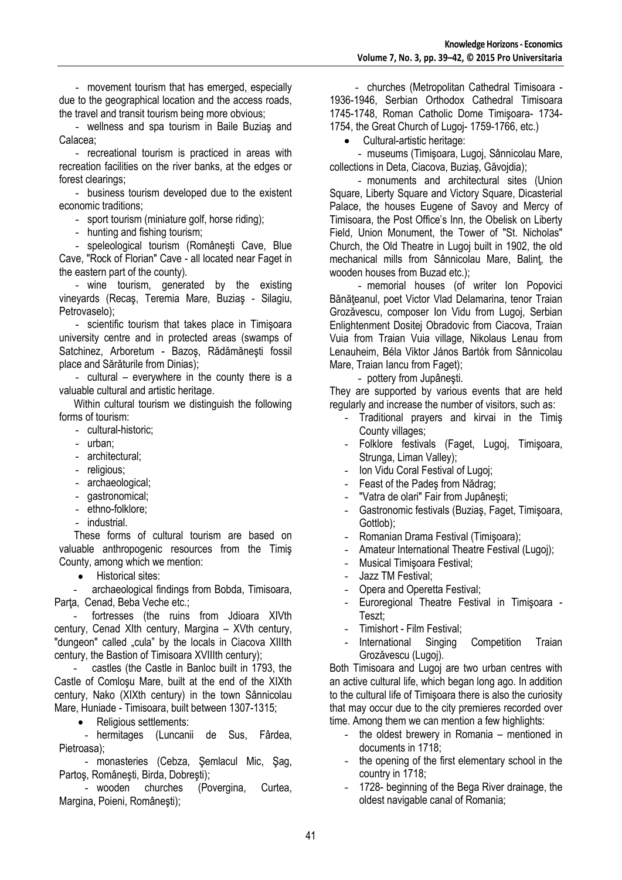- movement tourism that has emerged, especially due to the geographical location and the access roads, the travel and transit tourism being more obvious;

- wellness and spa tourism in Baile Buziaş and Calacea;

- recreational tourism is practiced in areas with recreation facilities on the river banks, at the edges or forest clearings;

- business tourism developed due to the existent economic traditions;

- sport tourism (miniature golf, horse riding);

hunting and fishing tourism;

- speleological tourism (Româneşti Cave, Blue Cave, "Rock of Florian" Cave - all located near Faget in the eastern part of the county).

- wine tourism, generated by the existing vineyards (Recaş, Teremia Mare, Buziaş - Silagiu, Petrovaselo);

- scientific tourism that takes place in Timişoara university centre and in protected areas (swamps of Satchinez, Arboretum - Bazoş, Rădămăneşti fossil place and Sărăturile from Dinias);

- cultural – everywhere in the county there is a valuable cultural and artistic heritage.

Within cultural tourism we distinguish the following forms of tourism:

- cultural-historic;
- urban;
- architectural;
- religious;
- archaeological;
- gastronomical;
- ethno-folklore;
- industrial.

These forms of cultural tourism are based on valuable anthropogenic resources from the Timiş County, among which we mention:

 $\bullet$ Historical sites:

archaeological findings from Bobda, Timisoara, Parta, Cenad, Beba Veche etc.;

fortresses (the ruins from Jdioara XIVth century, Cenad XIth century, Margina – XVth century, "dungeon" called .cula" by the locals in Ciacova XIIIth century, the Bastion of Timisoara XVIIIth century);

castles (the Castle in Banloc built in 1793, the Castle of Comloşu Mare, built at the end of the XIXth century, Nako (XIXth century) in the town Sânnicolau Mare, Huniade - Timisoara, built between 1307-1315;

Religious settlements:

- hermitages (Luncanii de Sus, Fârdea, Pietroasa);

- monasteries (Cebza, Şemlacul Mic, Şag, Partoş, Româneşti, Birda, Dobreşti);

- wooden churches (Povergina, Curtea, Margina, Poieni, Româneşti);

- churches (Metropolitan Cathedral Timisoara - 1936-1946, Serbian Orthodox Cathedral Timisoara 1745-1748, Roman Catholic Dome Timişoara- 1734- 1754, the Great Church of Lugoj- 1759-1766, etc.)

Cultural-artistic heritage:

- museums (Timişoara, Lugoj, Sânnicolau Mare, collections in Deta, Ciacova, Buziaş, Găvojdia);

- monuments and architectural sites (Union Square, Liberty Square and Victory Square, Dicasterial Palace, the houses Eugene of Savoy and Mercy of Timisoara, the Post Office's Inn, the Obelisk on Liberty Field, Union Monument, the Tower of "St. Nicholas" Church, the Old Theatre in Lugoj built in 1902, the old mechanical mills from Sânnicolau Mare, Balinţ, the wooden houses from Buzad etc.);

- memorial houses (of writer Ion Popovici Bănăţeanul, poet Victor Vlad Delamarina, tenor Traian Grozăvescu, composer Ion Vidu from Lugoj, Serbian Enlightenment Dositej Obradovic from Ciacova, Traian Vuia from Traian Vuia village, Nikolaus Lenau from Lenauheim, Béla Viktor János Bartók from Sânnicolau Mare, Traian Iancu from Faget);

- pottery from Jupâneşti.

They are supported by various events that are held regularly and increase the number of visitors, such as:

- Traditional prayers and kirvai in the Timiş County villages;
- Folklore festivals (Faget, Lugoj, Timişoara, Strunga, Liman Valley);
- Ion Vidu Coral Festival of Lugoj;
- Feast of the Pades from Nădrag;
- "Vatra de olari" Fair from Jupâneşti;
- Gastronomic festivals (Buziaş, Faget, Timişoara, Gottlob);
- Romanian Drama Festival (Timişoara);
- Amateur International Theatre Festival (Lugoj);
- Musical Timişoara Festival;
- Jazz TM Festival;
- Opera and Operetta Festival;
- Euroregional Theatre Festival in Timişoara Teszt;
- Timishort Film Festival;
- International Singing Competition Traian Grozăvescu (Lugoj).

Both Timisoara and Lugoj are two urban centres with an active cultural life, which began long ago. In addition to the cultural life of Timişoara there is also the curiosity that may occur due to the city premieres recorded over time. Among them we can mention a few highlights:

- the oldest brewery in Romania mentioned in documents in 1718;
- the opening of the first elementary school in the country in 1718;
- 1728- beginning of the Bega River drainage, the oldest navigable canal of Romania;